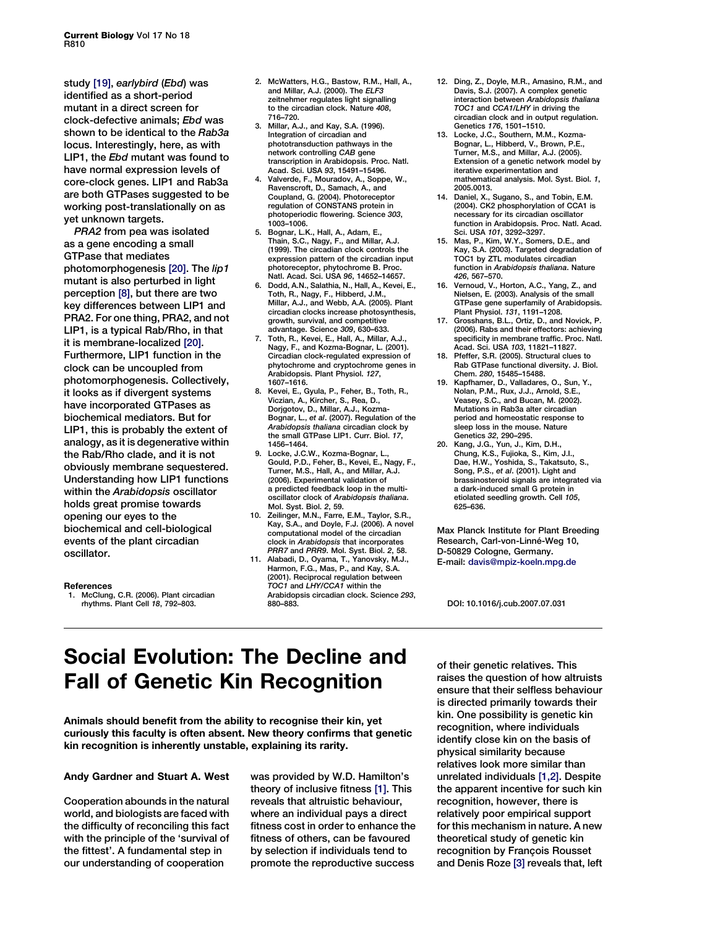study [19], earlybird (Ebd) was identified as a short-period mutant in a direct screen for clock-defective animals; Ebd was shown to be identical to the Rab3a locus. Interestingly, here, as with LIP1, the Ebd mutant was found to have normal expression levels of core-clock genes. LIP1 and Rab3a are both GTPases suggested to be working post-translationally on as yet unknown targets.

PRA2 from pea was isolated as a gene encoding a small GTPase that mediates photomorphogenesis [20]. The lip1 mutant is also perturbed in light perception [8], but there are two key differences between LIP1 and PRA2. For one thing, PRA2, and not LIP1, is a typical Rab/Rho, in that it is membrane-localized [20]. Furthermore, LIP1 function in the clock can be uncoupled from photomorphogenesis. Collectively, it looks as if divergent systems have incorporated GTPases as biochemical mediators. But for LIP1, this is probably the extent of analogy, as it is degenerative within the Rab/Rho clade, and it is not obviously membrane sequestered. Understanding how LIP1 functions within the Arabidopsis oscillator holds great promise towards opening our eyes to the biochemical and cell-biological events of the plant circadian oscillator.

## References

1. McClung, C.R. (2006). Plant circadian rhythms. Plant Cell 18, 792–803.

- 2. McWatters, H.G., Bastow, R.M., Hall, A., and Millar, A.J. (2000). The ELF3 zeitnehmer regulates light signalling to the circadian clock. Nature 408, 716–720.
- 3. Millar, A.J., and Kay, S.A. (1996). Integration of circadian and phototransduction pathways in the network controlling CAB gene transcription in Arabidopsis. Proc. Natl. Acad. Sci. USA 93, 15491–15496.
- 4. Valverde, F., Mouradov, A., Soppe, W., Ravenscroft, D., Samach, A., and Coupland, G. (2004). Photoreceptor regulation of CONSTANS protein in photoperiodic flowering. Science 303, 1003–1006.
- 5. Bognar, L.K., Hall, A., Adam, E., Thain, S.C., Nagy, F., and Millar, A.J. (1999). The circadian clock controls the expression pattern of the circadian input photoreceptor, phytochrome B. Proc. Natl. Acad. Sci. USA 96, 14652–14657.
- 6. Dodd, A.N., Salathia, N., Hall, A., Kevei, E., Toth, R., Nagy, F., Hibberd, J.M., Millar, A.J., and Webb, A.A. (2005). Plant circadian clocks increase photosynthesis, growth, survival, and competitive advantage. Science 309, 630–633.
- 7. Toth, R., Kevei, E., Hall, A., Millar, A.J., Nagy, F., and Kozma-Bognar, L. (2001). Circadian clock-regulated expression of phytochrome and cryptochrome genes in Arabidopsis. Plant Physiol. 127, 1607–1616.
- 8. Kevei, E., Gyula, P., Feher, B., Toth, R., Viczian, A., Kircher, S., Rea, D., Dorjgotov, D., Millar, A.J., Kozma-Bognar, L., et al. (2007). Regulation of the Arabidopsis thaliana circadian clock by the small GTPase LIP1. Curr. Biol. 17, 1456–1464.
- 9. Locke, J.C.W., Kozma-Bognar, L. Gould, P.D., Feher, B., Kevei, E., Nagy, F., Turner, M.S., Hall, A., and Millar, A.J. (2006). Experimental validation of a predicted feedback loop in the multioscillator clock of Arabidopsis thaliana. Mol. Syst. Biol. 2, 59.
- 10. Zeilinger, M.N., Farre, E.M., Taylor, S.R., Kay, S.A., and Doyle, F.J. (2006). A novel computational model of the circadian clock in Arabidopsis that incorporates PRR7 and PRR9. Mol. Syst. Biol. 2, 58.
- 11. Alabadi, D., Oyama, T., Yanovsky, M.J., Harmon, F.G., Mas, P., and Kay, S.A. (2001). Reciprocal regulation between  $TOC1$  and  $LHY/CCA1$  within the Arabidopsis circadian clock. Science 293, 880–883.
- 12. Ding, Z., Doyle, M.R., Amasino, R.M., and Davis, S.J. (2007). A complex genetic<br>interaction between *Arabidopsis thaliana* TOC1 and CCA1/LHY in driving the circadian clock and in output regulation. Genetics 176, 1501–1510.
- 13. Locke, J.C., Southern, M.M., Kozma-Bognar, L., Hibberd, V., Brown, P.E., Turner, M.S., and Millar, A.J. (2005). Extension of a genetic network model by iterative experimentation and mathematical analysis. Mol. Syst. Biol. 1, 2005.0013.
- 14. Daniel, X., Sugano, S., and Tobin, E.M. (2004). CK2 phosphorylation of CCA1 is necessary for its circadian oscillator function in Arabidopsis. Proc. Natl. Acad. Sci. USA 101, 3292–3297.
- 15. Mas, P., Kim, W.Y., Somers, D.E., and Kay, S.A. (2003). Targeted degradation of TOC1 by ZTL modulates circadian function in Arabidopsis thaliana. Nature 426, 567–570.
- 16. Vernoud, V., Horton, A.C., Yang, Z., and Nielsen, E. (2003). Analysis of the small GTPase gene superfamily of Arabidopsis. Plant Physiol. 131, 1191–1208.
- 17. Grosshans, B.L., Ortiz, D., and Novick, P. (2006). Rabs and their effectors: achieving specificity in membrane traffic. Proc. Natl. Acad. Sci. USA 103, 11821–11827.
- 18. Pfeffer, S.R. (2005). Structural clues to Rab GTPase functional diversity. J. Biol. Chem. 280, 15485–15488.
- 19. Kapfhamer, D., Valladares, O., Sun, Y., Nolan, P.M., Rux, J.J., Arnold, S.E., Veasey, S.C., and Bucan, M. (2002). Mutations in Rab3a alter circadian period and homeostatic response to .<br>sleep loss in the mouse. Nature Genetics 32, 290–295.
- 20. Kang, J.G., Yun, J., Kim, D.H., Chung, K.S., Fujioka, S., Kim, J.I., Dae, H.W., Yoshida, S., Takatsuto, S., Song, P.S., et al. (2001). Light and brassinosteroid signals are integrated via a dark-induced small G protein in etiolated seedling growth. Cell 105, 625–636.

Max Planck Institute for Plant Breeding Research, Carl-von-Linné-Weg 10, D-50829 Cologne, Germany. E-mail: davis@mpiz-koeln.mpg.de

DOI: 10.1016/j.cub.2007.07.031

# Social Evolution: The Decline and Fall of Genetic Kin Recognition

Animals should benefit from the ability to recognise their kin, yet curiously this faculty is often absent. New theory confirms that genetic kin recognition is inherently unstable, explaining its rarity.

## Andy Gardner and Stuart A. West

Cooperation abounds in the natural world, and biologists are faced with the difficulty of reconciling this fact with the principle of the 'survival of the fittest'. A fundamental step in our understanding of cooperation

was provided by W.D. Hamilton's theory of inclusive fitness [\[1\]](#page-2-0). This reveals that altruistic behaviour, where an individual pays a direct fitness cost in order to enhance the fitness of others, can be favoured by selection if individuals tend to promote the reproductive success

of their genetic relatives. This raises the question of how altruists ensure that their selfless behaviour is directed primarily towards their kin. One possibility is genetic kin recognition, where individuals identify close kin on the basis of physical similarity because relatives look more similar than unrelated individuals [\[1,2\].](#page-2-0) Despite the apparent incentive for such kin recognition, however, there is relatively poor empirical support for this mechanism in nature. A new theoretical study of genetic kin recognition by François Rousset and Denis Roze [\[3\]](#page-2-0) reveals that, left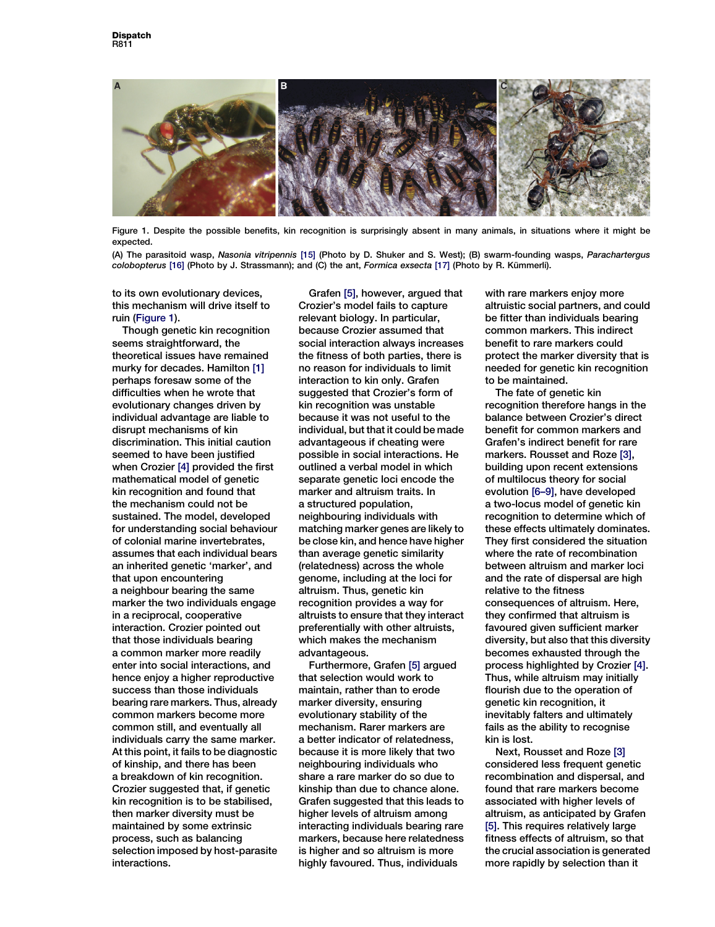

Figure 1. Despite the possible benefits, kin recognition is surprisingly absent in many animals, in situations where it might be expected.

(A) The parasitoid wasp, Nasonia vitripennis [\[15\]](#page-2-0) (Photo by D. Shuker and S. West); (B) swarm-founding wasps, Parachartergus colobopterus [\[16\]](#page-2-0) (Photo by J. Strassmann); and (C) the ant, Formica exsecta [\[17\]](#page-2-0) (Photo by R. Kümmerli).

to its own evolutionary devices, this mechanism will drive itself to ruin (Figure 1).

Though genetic kin recognition seems straightforward, the theoretical issues have remained murky for decades. Hamilton [\[1\]](#page-2-0) perhaps foresaw some of the difficulties when he wrote that evolutionary changes driven by individual advantage are liable to disrupt mechanisms of kin discrimination. This initial caution seemed to have been justified when Crozier [\[4\]](#page-2-0) provided the first mathematical model of genetic kin recognition and found that the mechanism could not be sustained. The model, developed for understanding social behaviour of colonial marine invertebrates, assumes that each individual bears an inherited genetic 'marker', and that upon encountering a neighbour bearing the same marker the two individuals engage in a reciprocal, cooperative interaction. Crozier pointed out that those individuals bearing a common marker more readily enter into social interactions, and hence enjoy a higher reproductive success than those individuals bearing rare markers. Thus, already common markers become more common still, and eventually all individuals carry the same marker. At this point, it fails to be diagnostic of kinship, and there has been a breakdown of kin recognition. Crozier suggested that, if genetic kin recognition is to be stabilised, then marker diversity must be maintained by some extrinsic process, such as balancing selection imposed by host-parasite interactions.

Grafen [\[5\]](#page-2-0), however, argued that Crozier's model fails to capture relevant biology. In particular, because Crozier assumed that social interaction always increases the fitness of both parties, there is no reason for individuals to limit interaction to kin only. Grafen suggested that Crozier's form of kin recognition was unstable because it was not useful to the individual, but that it could be made advantageous if cheating were possible in social interactions. He outlined a verbal model in which separate genetic loci encode the marker and altruism traits. In a structured population, neighbouring individuals with matching marker genes are likely to be close kin, and hence have higher than average genetic similarity (relatedness) across the whole genome, including at the loci for altruism. Thus, genetic kin recognition provides a way for altruists to ensure that they interact preferentially with other altruists, which makes the mechanism advantageous.

Furthermore, Grafen [\[5\]](#page-2-0) argued that selection would work to maintain, rather than to erode marker diversity, ensuring evolutionary stability of the mechanism. Rarer markers are a better indicator of relatedness, because it is more likely that two neighbouring individuals who share a rare marker do so due to kinship than due to chance alone. Grafen suggested that this leads to higher levels of altruism among interacting individuals bearing rare markers, because here relatedness is higher and so altruism is more highly favoured. Thus, individuals

with rare markers enjoy more altruistic social partners, and could be fitter than individuals bearing common markers. This indirect benefit to rare markers could protect the marker diversity that is needed for genetic kin recognition to be maintained.

The fate of genetic kin recognition therefore hangs in the balance between Crozier's direct benefit for common markers and Grafen's indirect benefit for rare markers. Rousset and Roze [\[3\]](#page-2-0), building upon recent extensions of multilocus theory for social evolution [\[6–9\],](#page-2-0) have developed a two-locus model of genetic kin recognition to determine which of these effects ultimately dominates. They first considered the situation where the rate of recombination between altruism and marker loci and the rate of dispersal are high relative to the fitness consequences of altruism. Here, they confirmed that altruism is favoured given sufficient marker diversity, but also that this diversity becomes exhausted through the process highlighted by Crozier [\[4\].](#page-2-0) Thus, while altruism may initially flourish due to the operation of genetic kin recognition, it inevitably falters and ultimately fails as the ability to recognise kin is lost.

Next, Rousset and Roze [\[3\]](#page-2-0) considered less frequent genetic recombination and dispersal, and found that rare markers become associated with higher levels of altruism, as anticipated by Grafen [\[5\]](#page-2-0). This requires relatively large fitness effects of altruism, so that the crucial association is generated more rapidly by selection than it